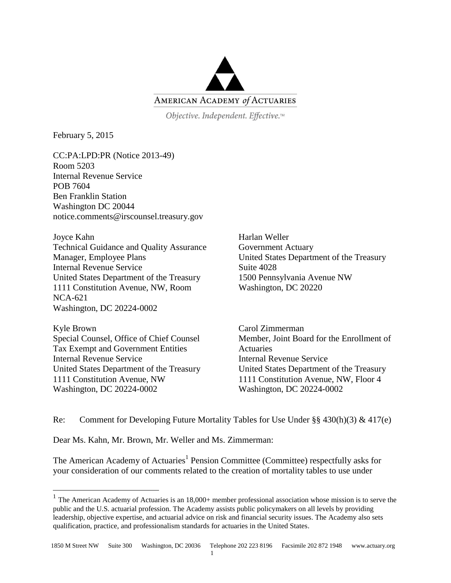

Objective. Independent. Effective.™

February 5, 2015

 $\overline{a}$ 

CC:PA:LPD:PR (Notice 2013-49) Room 5203 Internal Revenue Service POB 7604 Ben Franklin Station Washington DC 20044 notice.comments@irscounsel.treasury.gov

Joyce Kahn Technical Guidance and Quality Assurance Manager, Employee Plans Internal Revenue Service United States Department of the Treasury 1111 Constitution Avenue, NW, Room NCA-621 Washington, DC 20224-0002

Kyle Brown Special Counsel, Office of Chief Counsel Tax Exempt and Government Entities Internal Revenue Service United States Department of the Treasury 1111 Constitution Avenue, NW Washington, DC 20224-0002

Harlan Weller Government Actuary United States Department of the Treasury Suite 4028 1500 Pennsylvania Avenue NW Washington, DC 20220

Carol Zimmerman Member, Joint Board for the Enrollment of Actuaries Internal Revenue Service United States Department of the Treasury 1111 Constitution Avenue, NW, Floor 4 Washington, DC 20224-0002

Re: Comment for Developing Future Mortality Tables for Use Under  $\S § 430(h)(3) \& 417(e)$ 

Dear Ms. Kahn, Mr. Brown, Mr. Weller and Ms. Zimmerman:

The American Academy of Actuaries<sup>1</sup> Pension Committee (Committee) respectfully asks for your consideration of our comments related to the creation of mortality tables to use under

<sup>&</sup>lt;sup>1</sup> The American Academy of Actuaries is an  $18,000+$  member professional association whose mission is to serve the public and the U.S. actuarial profession. The Academy assists public policymakers on all levels by providing leadership, objective expertise, and actuarial advice on risk and financial security issues. The Academy also sets qualification, practice, and professionalism standards for actuaries in the United States.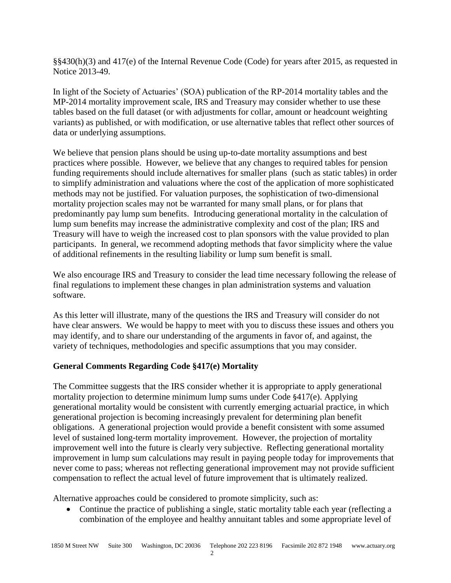§§430(h)(3) and 417(e) of the Internal Revenue Code (Code) for years after 2015, as requested in Notice 2013-49.

In light of the Society of Actuaries' (SOA) publication of the RP-2014 mortality tables and the MP-2014 mortality improvement scale, IRS and Treasury may consider whether to use these tables based on the full dataset (or with adjustments for collar, amount or headcount weighting variants) as published, or with modification, or use alternative tables that reflect other sources of data or underlying assumptions.

We believe that pension plans should be using up-to-date mortality assumptions and best practices where possible. However, we believe that any changes to required tables for pension funding requirements should include alternatives for smaller plans (such as static tables) in order to simplify administration and valuations where the cost of the application of more sophisticated methods may not be justified. For valuation purposes, the sophistication of two-dimensional mortality projection scales may not be warranted for many small plans, or for plans that predominantly pay lump sum benefits. Introducing generational mortality in the calculation of lump sum benefits may increase the administrative complexity and cost of the plan; IRS and Treasury will have to weigh the increased cost to plan sponsors with the value provided to plan participants. In general, we recommend adopting methods that favor simplicity where the value of additional refinements in the resulting liability or lump sum benefit is small.

We also encourage IRS and Treasury to consider the lead time necessary following the release of final regulations to implement these changes in plan administration systems and valuation software.

As this letter will illustrate, many of the questions the IRS and Treasury will consider do not have clear answers. We would be happy to meet with you to discuss these issues and others you may identify, and to share our understanding of the arguments in favor of, and against, the variety of techniques, methodologies and specific assumptions that you may consider.

# **General Comments Regarding Code §417(e) Mortality**

The Committee suggests that the IRS consider whether it is appropriate to apply generational mortality projection to determine minimum lump sums under Code §417(e). Applying generational mortality would be consistent with currently emerging actuarial practice, in which generational projection is becoming increasingly prevalent for determining plan benefit obligations. A generational projection would provide a benefit consistent with some assumed level of sustained long-term mortality improvement. However, the projection of mortality improvement well into the future is clearly very subjective. Reflecting generational mortality improvement in lump sum calculations may result in paying people today for improvements that never come to pass; whereas not reflecting generational improvement may not provide sufficient compensation to reflect the actual level of future improvement that is ultimately realized.

Alternative approaches could be considered to promote simplicity, such as:

 Continue the practice of publishing a single, static mortality table each year (reflecting a combination of the employee and healthy annuitant tables and some appropriate level of

 $\mathfrak{D}$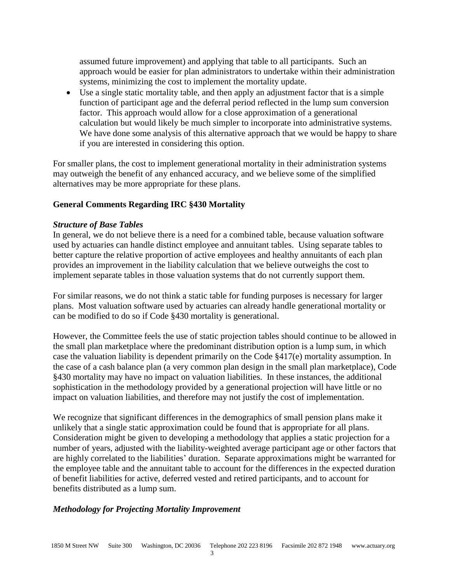assumed future improvement) and applying that table to all participants. Such an approach would be easier for plan administrators to undertake within their administration systems, minimizing the cost to implement the mortality update.

 Use a single static mortality table, and then apply an adjustment factor that is a simple function of participant age and the deferral period reflected in the lump sum conversion factor. This approach would allow for a close approximation of a generational calculation but would likely be much simpler to incorporate into administrative systems. We have done some analysis of this alternative approach that we would be happy to share if you are interested in considering this option.

For smaller plans, the cost to implement generational mortality in their administration systems may outweigh the benefit of any enhanced accuracy, and we believe some of the simplified alternatives may be more appropriate for these plans.

## **General Comments Regarding IRC §430 Mortality**

### *Structure of Base Tables*

In general, we do not believe there is a need for a combined table, because valuation software used by actuaries can handle distinct employee and annuitant tables. Using separate tables to better capture the relative proportion of active employees and healthy annuitants of each plan provides an improvement in the liability calculation that we believe outweighs the cost to implement separate tables in those valuation systems that do not currently support them.

For similar reasons, we do not think a static table for funding purposes is necessary for larger plans. Most valuation software used by actuaries can already handle generational mortality or can be modified to do so if Code §430 mortality is generational.

However, the Committee feels the use of static projection tables should continue to be allowed in the small plan marketplace where the predominant distribution option is a lump sum, in which case the valuation liability is dependent primarily on the Code §417(e) mortality assumption. In the case of a cash balance plan (a very common plan design in the small plan marketplace), Code §430 mortality may have no impact on valuation liabilities. In these instances, the additional sophistication in the methodology provided by a generational projection will have little or no impact on valuation liabilities, and therefore may not justify the cost of implementation.

We recognize that significant differences in the demographics of small pension plans make it unlikely that a single static approximation could be found that is appropriate for all plans. Consideration might be given to developing a methodology that applies a static projection for a number of years, adjusted with the liability-weighted average participant age or other factors that are highly correlated to the liabilities' duration. Separate approximations might be warranted for the employee table and the annuitant table to account for the differences in the expected duration of benefit liabilities for active, deferred vested and retired participants, and to account for benefits distributed as a lump sum.

### *Methodology for Projecting Mortality Improvement*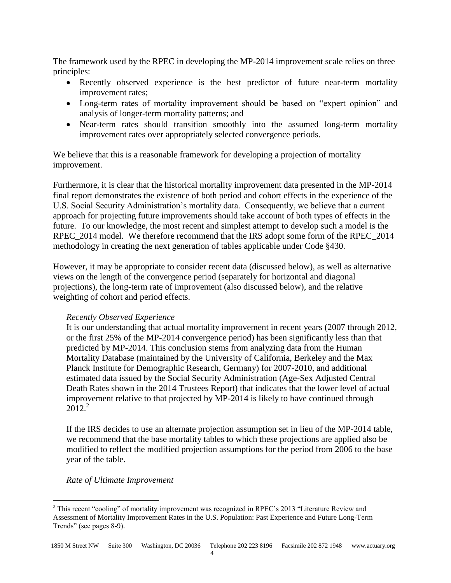The framework used by the RPEC in developing the MP-2014 improvement scale relies on three principles:

- Recently observed experience is the best predictor of future near-term mortality improvement rates;
- Long-term rates of mortality improvement should be based on "expert opinion" and analysis of longer-term mortality patterns; and
- Near-term rates should transition smoothly into the assumed long-term mortality improvement rates over appropriately selected convergence periods.

We believe that this is a reasonable framework for developing a projection of mortality improvement.

Furthermore, it is clear that the historical mortality improvement data presented in the MP-2014 final report demonstrates the existence of both period and cohort effects in the experience of the U.S. Social Security Administration's mortality data. Consequently, we believe that a current approach for projecting future improvements should take account of both types of effects in the future. To our knowledge, the most recent and simplest attempt to develop such a model is the RPEC\_2014 model. We therefore recommend that the IRS adopt some form of the RPEC\_2014 methodology in creating the next generation of tables applicable under Code §430.

However, it may be appropriate to consider recent data (discussed below), as well as alternative views on the length of the convergence period (separately for horizontal and diagonal projections), the long-term rate of improvement (also discussed below), and the relative weighting of cohort and period effects.

## *Recently Observed Experience*

It is our understanding that actual mortality improvement in recent years (2007 through 2012, or the first 25% of the MP-2014 convergence period) has been significantly less than that predicted by MP-2014. This conclusion stems from analyzing data from the Human Mortality Database (maintained by the University of California, Berkeley and the Max Planck Institute for Demographic Research, Germany) for 2007-2010, and additional estimated data issued by the Social Security Administration (Age-Sex Adjusted Central Death Rates shown in the 2014 Trustees Report) that indicates that the lower level of actual improvement relative to that projected by MP-2014 is likely to have continued through  $2012.<sup>2</sup>$ 

If the IRS decides to use an alternate projection assumption set in lieu of the MP-2014 table, we recommend that the base mortality tables to which these projections are applied also be modified to reflect the modified projection assumptions for the period from 2006 to the base year of the table.

## *Rate of Ultimate Improvement*

 $\overline{a}$ 

<sup>&</sup>lt;sup>2</sup> This recent "cooling" of mortality improvement was recognized in RPEC's 2013 "Literature Review and Assessment of Mortality Improvement Rates in the U.S. Population: Past Experience and Future Long-Term Trends" (see pages 8-9).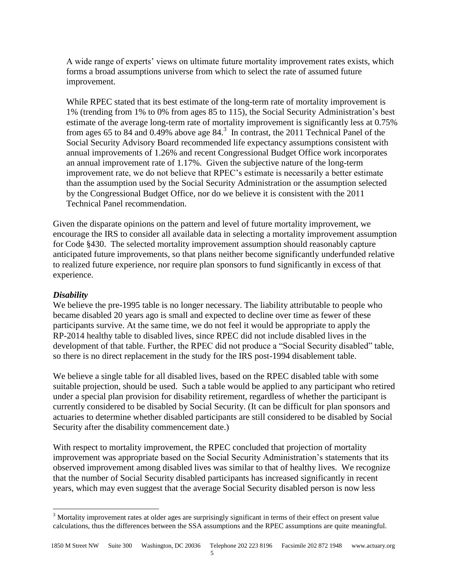A wide range of experts' views on ultimate future mortality improvement rates exists, which forms a broad assumptions universe from which to select the rate of assumed future improvement.

While RPEC stated that its best estimate of the long-term rate of mortality improvement is 1% (trending from 1% to 0% from ages 85 to 115), the Social Security Administration's best estimate of the average long-term rate of mortality improvement is significantly less at 0.75% from ages 65 to 84 and 0.49% above age 84.<sup>3</sup> In contrast, the 2011 Technical Panel of the Social Security Advisory Board recommended life expectancy assumptions consistent with annual improvements of 1.26% and recent Congressional Budget Office work incorporates an annual improvement rate of 1.17%. Given the subjective nature of the long-term improvement rate, we do not believe that RPEC's estimate is necessarily a better estimate than the assumption used by the Social Security Administration or the assumption selected by the Congressional Budget Office, nor do we believe it is consistent with the 2011 Technical Panel recommendation.

Given the disparate opinions on the pattern and level of future mortality improvement, we encourage the IRS to consider all available data in selecting a mortality improvement assumption for Code §430. The selected mortality improvement assumption should reasonably capture anticipated future improvements, so that plans neither become significantly underfunded relative to realized future experience, nor require plan sponsors to fund significantly in excess of that experience.

### *Disability*

 $\overline{a}$ 

We believe the pre-1995 table is no longer necessary. The liability attributable to people who became disabled 20 years ago is small and expected to decline over time as fewer of these participants survive. At the same time, we do not feel it would be appropriate to apply the RP-2014 healthy table to disabled lives, since RPEC did not include disabled lives in the development of that table. Further, the RPEC did not produce a "Social Security disabled" table, so there is no direct replacement in the study for the IRS post-1994 disablement table.

We believe a single table for all disabled lives, based on the RPEC disabled table with some suitable projection, should be used. Such a table would be applied to any participant who retired under a special plan provision for disability retirement, regardless of whether the participant is currently considered to be disabled by Social Security. (It can be difficult for plan sponsors and actuaries to determine whether disabled participants are still considered to be disabled by Social Security after the disability commencement date.)

With respect to mortality improvement, the RPEC concluded that projection of mortality improvement was appropriate based on the Social Security Administration's statements that its observed improvement among disabled lives was similar to that of healthy lives. We recognize that the number of Social Security disabled participants has increased significantly in recent years, which may even suggest that the average Social Security disabled person is now less

<sup>&</sup>lt;sup>3</sup> Mortality improvement rates at older ages are surprisingly significant in terms of their effect on present value calculations, thus the differences between the SSA assumptions and the RPEC assumptions are quite meaningful.